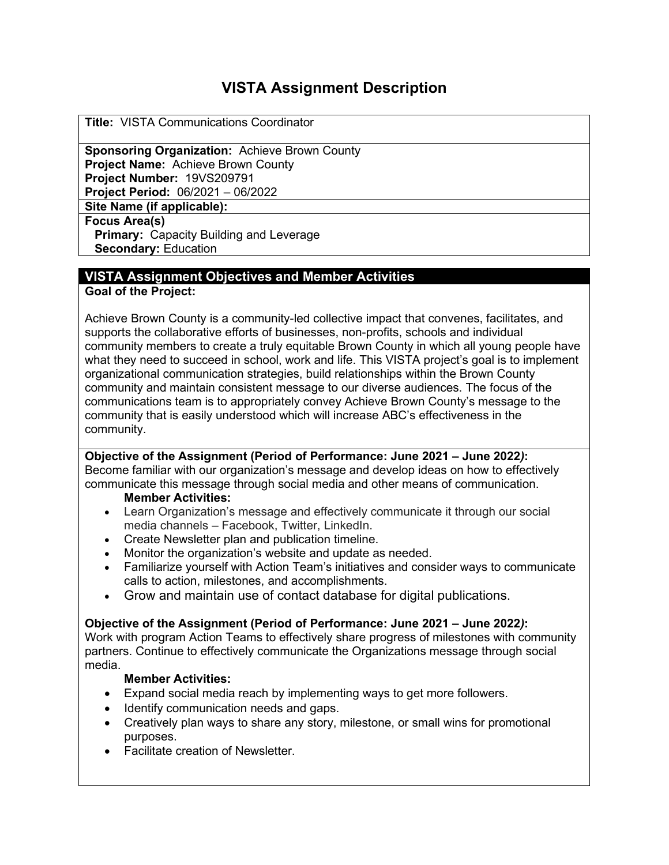# **VISTA Assignment Description**

**Title:** VISTA Communications Coordinator

**Sponsoring Organization:** Achieve Brown County **Project Name: Achieve Brown County Project Number:** 19VS209791 **Project Period:** 06/2021 – 06/2022

**Site Name (if applicable):**

**Focus Area(s)**

**Primary:** Capacity Building and Leverage **Secondary:** Education

## **VISTA Assignment Objectives and Member Activities**

**Goal of the Project:** 

Achieve Brown County is a community-led collective impact that convenes, facilitates, and supports the collaborative efforts of businesses, non-profits, schools and individual community members to create a truly equitable Brown County in which all young people have what they need to succeed in school, work and life. This VISTA project's goal is to implement organizational communication strategies, build relationships within the Brown County community and maintain consistent message to our diverse audiences. The focus of the communications team is to appropriately convey Achieve Brown County's message to the community that is easily understood which will increase ABC's effectiveness in the community.

**Objective of the Assignment (Period of Performance: June 2021 – June 2022***)***:**  Become familiar with our organization's message and develop ideas on how to effectively communicate this message through social media and other means of communication.

#### **Member Activities:**

- Learn Organization's message and effectively communicate it through our social media channels – Facebook, Twitter, LinkedIn.
- Create Newsletter plan and publication timeline.
- Monitor the organization's website and update as needed.
- Familiarize yourself with Action Team's initiatives and consider ways to communicate calls to action, milestones, and accomplishments.
- Grow and maintain use of contact database for digital publications.

#### **Objective of the Assignment (Period of Performance: June 2021 – June 2022***)***:**

Work with program Action Teams to effectively share progress of milestones with community partners. Continue to effectively communicate the Organizations message through social media.

#### **Member Activities:**

- Expand social media reach by implementing ways to get more followers.
- Identify communication needs and gaps.
- Creatively plan ways to share any story, milestone, or small wins for promotional purposes.
- Facilitate creation of Newsletter.